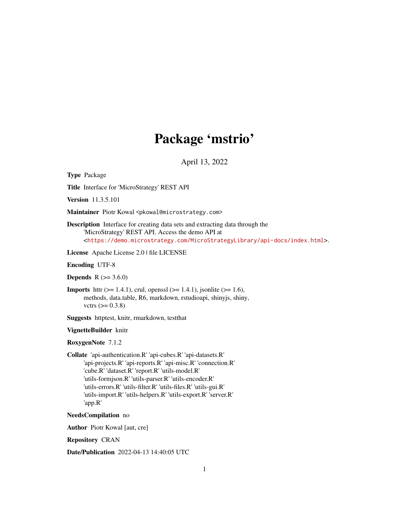## Package 'mstrio'

April 13, 2022

Type Package

Title Interface for 'MicroStrategy' REST API

Version 11.3.5.101

Maintainer Piotr Kowal <pkowal@microstrategy.com>

Description Interface for creating data sets and extracting data through the 'MicroStrategy' REST API. Access the demo API at <<https://demo.microstrategy.com/MicroStrategyLibrary/api-docs/index.html>>.

License Apache License 2.0 | file LICENSE

Encoding UTF-8

**Depends**  $R$  ( $> = 3.6.0$ )

**Imports** httr ( $> = 1.4.1$ ), crul, openssl ( $> = 1.4.1$ ), jsonlite ( $> = 1.6$ ), methods, data.table, R6, markdown, rstudioapi, shinyjs, shiny, vctrs  $(>= 0.3.8)$ 

Suggests httptest, knitr, rmarkdown, testthat

#### VignetteBuilder knitr

RoxygenNote 7.1.2

Collate 'api-authentication.R' 'api-cubes.R' 'api-datasets.R' 'api-projects.R' 'api-reports.R' 'api-misc.R' 'connection.R' 'cube.R' 'dataset.R' 'report.R' 'utils-model.R' 'utils-formjson.R' 'utils-parser.R' 'utils-encoder.R' 'utils-errors.R' 'utils-filter.R' 'utils-files.R' 'utils-gui.R' 'utils-import.R' 'utils-helpers.R' 'utils-export.R' 'server.R' 'app.R'

NeedsCompilation no

Author Piotr Kowal [aut, cre]

Repository CRAN

Date/Publication 2022-04-13 14:40:05 UTC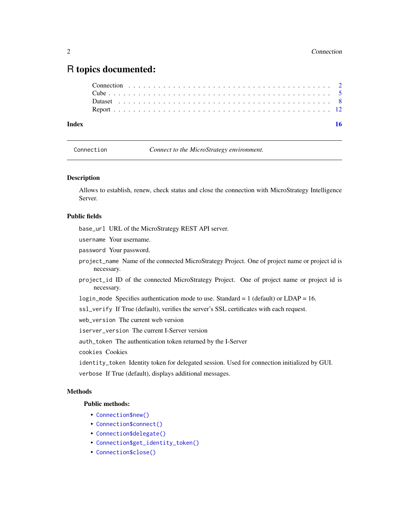## <span id="page-1-0"></span>R topics documented:

| Index |  |  |  |  |  |  |  |  |  |  |  |  |  |  |  |  |  |  | 16 |  |
|-------|--|--|--|--|--|--|--|--|--|--|--|--|--|--|--|--|--|--|----|--|
|       |  |  |  |  |  |  |  |  |  |  |  |  |  |  |  |  |  |  |    |  |
|       |  |  |  |  |  |  |  |  |  |  |  |  |  |  |  |  |  |  |    |  |
|       |  |  |  |  |  |  |  |  |  |  |  |  |  |  |  |  |  |  |    |  |
|       |  |  |  |  |  |  |  |  |  |  |  |  |  |  |  |  |  |  |    |  |

| Connection |  |  |
|------------|--|--|
|            |  |  |

Connect to the MicroStrategy environment.

#### Description

Allows to establish, renew, check status and close the connection with MicroStrategy Intelligence Server.

#### Public fields

base\_url URL of the MicroStrategy REST API server.

- username Your username.
- password Your password.
- project\_name Name of the connected MicroStrategy Project. One of project name or project id is necessary.
- project\_id ID of the connected MicroStrategy Project. One of project name or project id is necessary.

login\_mode Specifies authentication mode to use. Standard = 1 (default) or LDAP = 16.

ssl\_verify If True (default), verifies the server's SSL certificates with each request.

web\_version The current web version

iserver\_version The current I-Server version

auth\_token The authentication token returned by the I-Server

cookies Cookies

identity\_token Identity token for delegated session. Used for connection initialized by GUI. verbose If True (default), displays additional messages.

#### Methods

#### Public methods:

- [Connection\\$new\(\)](#page-2-0)
- [Connection\\$connect\(\)](#page-2-1)
- [Connection\\$delegate\(\)](#page-2-2)
- [Connection\\$get\\_identity\\_token\(\)](#page-2-3)
- [Connection\\$close\(\)](#page-3-0)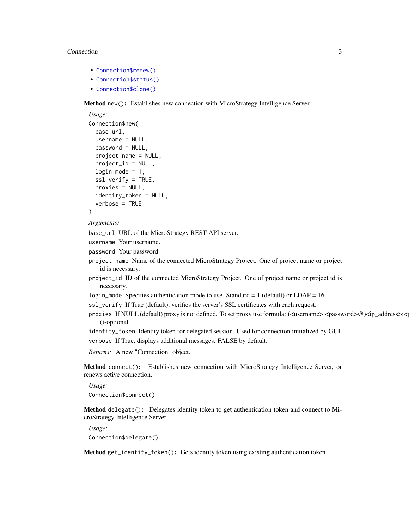#### Connection 3

- [Connection\\$renew\(\)](#page-3-1)
- [Connection\\$status\(\)](#page-3-2)
- [Connection\\$clone\(\)](#page-3-3)

<span id="page-2-0"></span>Method new(): Establishes new connection with MicroStrategy Intelligence Server.

```
Usage:
Connection$new(
 base_url,
 username = NULL,
 password = NULL,
 project_name = NULL,
 project_id = NULL,login_model = 1,ssl_verify = TRUE,
 proxies = NULL,
 identity_token = NULL,
  verbose = TRUE
)
```
#### *Arguments:*

base\_url URL of the MicroStrategy REST API server.

```
username Your username.
```
- password Your password.
- project\_name Name of the connected MicroStrategy Project. One of project name or project id is necessary.
- project\_id ID of the connected MicroStrategy Project. One of project name or project id is necessary.
- login\_mode Specifies authentication mode to use. Standard =  $1$  (default) or LDAP = 16.
- ssl\_verify If True (default), verifies the server's SSL certificates with each request.
- proxies If NULL (default) proxy is not defined. To set proxy use formula: (<username>:<password>@)<ip\_address>:< ()-optional
- identity\_token Identity token for delegated session. Used for connection initialized by GUI.

verbose If True, displays additional messages. FALSE by default.

*Returns:* A new "Connection" object.

<span id="page-2-1"></span>Method connect(): Establishes new connection with MicroStrategy Intelligence Server, or renews active connection.

*Usage:* Connection\$connect()

<span id="page-2-2"></span>Method delegate(): Delegates identity token to get authentication token and connect to MicroStrategy Intelligence Server

*Usage:* Connection\$delegate()

<span id="page-2-3"></span>Method get\_identity\_token(): Gets identity token using existing authentication token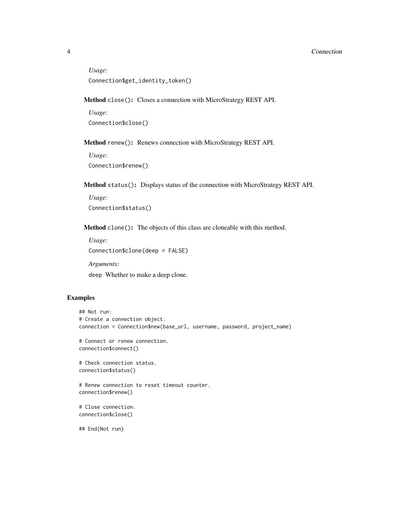#### 4 Connection

```
Usage:
Connection$get_identity_token()
```
<span id="page-3-0"></span>Method close(): Closes a connection with MicroStrategy REST API.

*Usage:* Connection\$close()

<span id="page-3-1"></span>Method renew(): Renews connection with MicroStrategy REST API.

*Usage:* Connection\$renew()

<span id="page-3-2"></span>Method status(): Displays status of the connection with MicroStrategy REST API.

```
Usage:
Connection$status()
```
<span id="page-3-3"></span>Method clone(): The objects of this class are cloneable with this method.

```
Usage:
Connection$clone(deep = FALSE)
Arguments:
```
deep Whether to make a deep clone.

### Examples

```
## Not run:
# Create a connection object.
connection = Connection$new(base_url, username, password, project_name)
# Connect or renew connection.
connection$connect()
# Check connection status.
connection$status()
# Renew connection to reset timeout counter.
connection$renew()
# Close connection.
connection$close()
## End(Not run)
```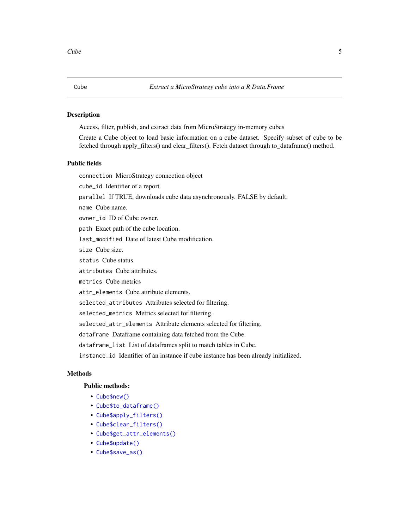#### <span id="page-4-0"></span>Description

Access, filter, publish, and extract data from MicroStrategy in-memory cubes

Create a Cube object to load basic information on a cube dataset. Specify subset of cube to be fetched through apply\_filters() and clear\_filters(). Fetch dataset through to\_dataframe() method.

#### Public fields

connection MicroStrategy connection object

cube\_id Identifier of a report.

parallel If TRUE, downloads cube data asynchronously. FALSE by default.

name Cube name.

owner\_id ID of Cube owner.

path Exact path of the cube location.

last\_modified Date of latest Cube modification.

size Cube size.

status Cube status.

attributes Cube attributes.

metrics Cube metrics

attr\_elements Cube attribute elements.

selected\_attributes Attributes selected for filtering.

selected\_metrics Metrics selected for filtering.

selected\_attr\_elements Attribute elements selected for filtering.

dataframe Dataframe containing data fetched from the Cube.

dataframe\_list List of dataframes split to match tables in Cube.

instance\_id Identifier of an instance if cube instance has been already initialized.

#### Methods

#### Public methods:

- [Cube\\$new\(\)](#page-2-0)
- [Cube\\$to\\_dataframe\(\)](#page-5-0)
- [Cube\\$apply\\_filters\(\)](#page-5-1)
- [Cube\\$clear\\_filters\(\)](#page-5-2)
- [Cube\\$get\\_attr\\_elements\(\)](#page-6-0)
- [Cube\\$update\(\)](#page-6-1)
- [Cube\\$save\\_as\(\)](#page-6-2)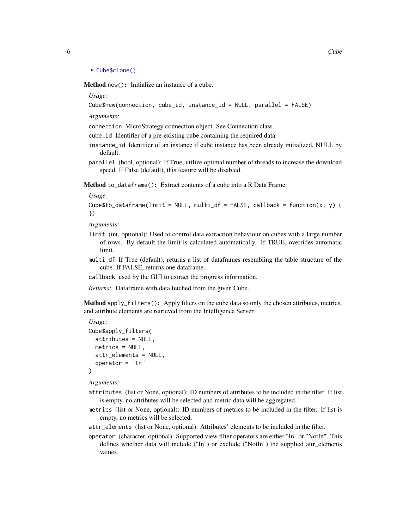```
• Cube$clone()
```
Method new(): Initialize an instance of a cube.

*Usage:*

Cube\$new(connection, cube\_id, instance\_id = NULL, parallel = FALSE)

*Arguments:*

connection MicroStrategy connection object. See Connection class.

cube\_id Identifier of a pre-existing cube containing the required data.

- instance\_id Identifier of an instance if cube instance has been already initialized, NULL by default.
- parallel (bool, optional): If True, utilize optimal number of threads to increase the download speed. If False (default), this feature will be disabled.

<span id="page-5-0"></span>Method to\_dataframe(): Extract contents of a cube into a R Data Frame.

*Usage:*

```
Cube$to_dataframe(limit = NULL, multi_df = FALSE, callback = function(x, y) {
})
```
*Arguments:*

- limit (int, optional): Used to control data extraction behaviour on cubes with a large number of rows. By default the limit is calculated automatically. If TRUE, overrides automatic limit.
- multi\_df If True (default), returns a list of dataframes resembling the table structure of the cube. If FALSE, returns one dataframe.
- callback used by the GUI to extract the progress information.

*Returns:* Dataframe with data fetched from the given Cube.

<span id="page-5-1"></span>Method apply\_filters(): Apply filters on the cube data so only the chosen attributes, metrics, and attribute elements are retrieved from the Intelligence Server.

```
Usage:
Cube$apply_filters(
 attributes = NULL,
 metrics = NULL,attr_elements = NULL,
  operator = "In"
)
```
*Arguments:*

- attributes (list or None, optional): ID numbers of attributes to be included in the filter. If list is empty, no attributes will be selected and metric data will be aggregated.
- metrics (list or None, optional): ID numbers of metrics to be included in the filter. If list is empty, no metrics will be selected.
- attr\_elements (list or None, optional): Attributes' elements to be included in the filter.
- <span id="page-5-2"></span>operator (character, optional): Supported view filter operators are either "In" or "NotIn". This defines whether data will include ("In") or exclude ("NotIn") the supplied attr\_elements values.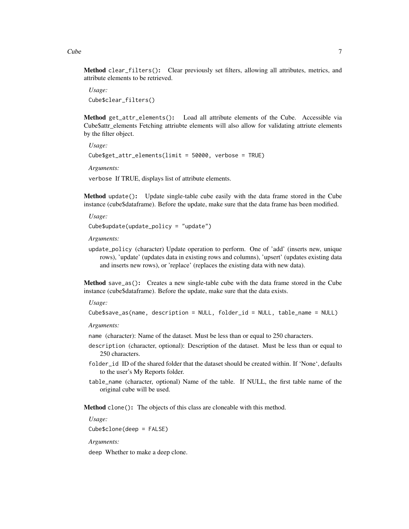Method clear\_filters(): Clear previously set filters, allowing all attributes, metrics, and attribute elements to be retrieved.

*Usage:* Cube\$clear\_filters()

<span id="page-6-0"></span>Method get\_attr\_elements(): Load all attribute elements of the Cube. Accessible via Cube\$attr\_elements Fetching attriubte elements will also allow for validating attriute elements by the filter object.

*Usage:* Cube\$get\_attr\_elements(limit = 50000, verbose = TRUE) *Arguments:*

verbose If TRUE, displays list of attribute elements.

<span id="page-6-1"></span>Method update(): Update single-table cube easily with the data frame stored in the Cube instance (cube\$dataframe). Before the update, make sure that the data frame has been modified.

*Usage:*

Cube\$update(update\_policy = "update")

*Arguments:*

update\_policy (character) Update operation to perform. One of 'add' (inserts new, unique rows), 'update' (updates data in existing rows and columns), 'upsert' (updates existing data and inserts new rows), or 'replace' (replaces the existing data with new data).

<span id="page-6-2"></span>Method save\_as(): Creates a new single-table cube with the data frame stored in the Cube instance (cube\$dataframe). Before the update, make sure that the data exists.

*Usage:*

Cube\$save\_as(name, description = NULL, folder\_id = NULL, table\_name = NULL)

*Arguments:*

- name (character): Name of the dataset. Must be less than or equal to 250 characters.
- description (character, optional): Description of the dataset. Must be less than or equal to 250 characters.
- folder\_id ID of the shared folder that the dataset should be created within. If 'None', defaults to the user's My Reports folder.
- table\_name (character, optional) Name of the table. If NULL, the first table name of the original cube will be used.

Method clone(): The objects of this class are cloneable with this method.

*Usage:*

Cube\$clone(deep = FALSE)

*Arguments:*

deep Whether to make a deep clone.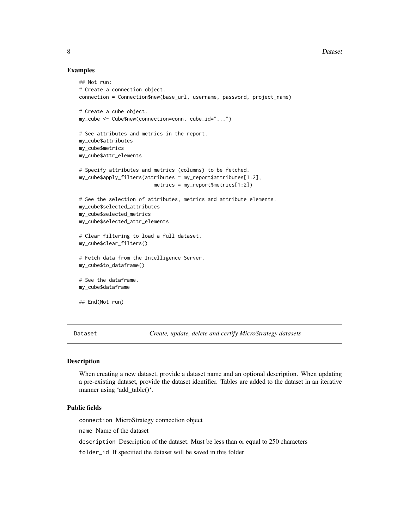#### 8 Dataset **Department of the Contract of the Contract of the Contract of the Contract of the Contract of the Contract of the Contract of the Contract of the Contract of the Contract of the Contract of the Contract of the C**

#### Examples

```
## Not run:
# Create a connection object.
connection = Connection$new(base_url, username, password, project_name)
# Create a cube object.
my_cube <- Cube$new(connection=conn, cube_id="...")
# See attributes and metrics in the report.
my_cube$attributes
my_cube$metrics
my_cube$attr_elements
# Specify attributes and metrics (columns) to be fetched.
my_cube$apply_filters(attributes = my_report$attributes[1:2],
                         metrics = my_report$metrics[1:2])
# See the selection of attributes, metrics and attribute elements.
my_cube$selected_attributes
my_cube$selected_metrics
my_cube$selected_attr_elements
# Clear filtering to load a full dataset.
my_cube$clear_filters()
# Fetch data from the Intelligence Server.
my_cube$to_dataframe()
# See the dataframe.
my_cube$dataframe
## End(Not run)
```
Dataset *Create, update, delete and certify MicroStrategy datasets*

#### Description

When creating a new dataset, provide a dataset name and an optional description. When updating a pre-existing dataset, provide the dataset identifier. Tables are added to the dataset in an iterative manner using 'add\_table()'.

#### Public fields

connection MicroStrategy connection object

name Name of the dataset

description Description of the dataset. Must be less than or equal to 250 characters

folder\_id If specified the dataset will be saved in this folder

<span id="page-7-0"></span>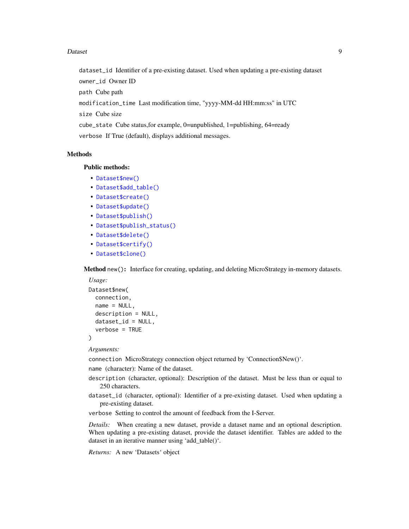#### Dataset 9

dataset\_id Identifier of a pre-existing dataset. Used when updating a pre-existing dataset owner\_id Owner ID

path Cube path

modification\_time Last modification time, "yyyy-MM-dd HH:mm:ss" in UTC

size Cube size

cube\_state Cube status,for example, 0=unpublished, 1=publishing, 64=ready verbose If True (default), displays additional messages.

#### **Methods**

#### Public methods:

- [Dataset\\$new\(\)](#page-2-0)
- [Dataset\\$add\\_table\(\)](#page-8-0)
- [Dataset\\$create\(\)](#page-9-0)
- [Dataset\\$update\(\)](#page-6-1)
- [Dataset\\$publish\(\)](#page-10-0)
- [Dataset\\$publish\\_status\(\)](#page-10-1)
- [Dataset\\$delete\(\)](#page-10-2)
- [Dataset\\$certify\(\)](#page-10-3)
- [Dataset\\$clone\(\)](#page-3-3)

Method new(): Interface for creating, updating, and deleting MicroStrategy in-memory datasets.

```
Usage:
Dataset$new(
 connection,
 name = NULL,description = NULL,
 dataset_id = NULL,
  verbose = TRUE
)
```
*Arguments:*

connection MicroStrategy connection object returned by 'Connection\$New()'.

name (character): Name of the dataset.

- description (character, optional): Description of the dataset. Must be less than or equal to 250 characters.
- dataset\_id (character, optional): Identifier of a pre-existing dataset. Used when updating a pre-existing dataset.
- verbose Setting to control the amount of feedback from the I-Server.

*Details:* When creating a new dataset, provide a dataset name and an optional description. When updating a pre-existing dataset, provide the dataset identifier. Tables are added to the dataset in an iterative manner using 'add\_table()'.

<span id="page-8-0"></span>*Returns:* A new 'Datasets' object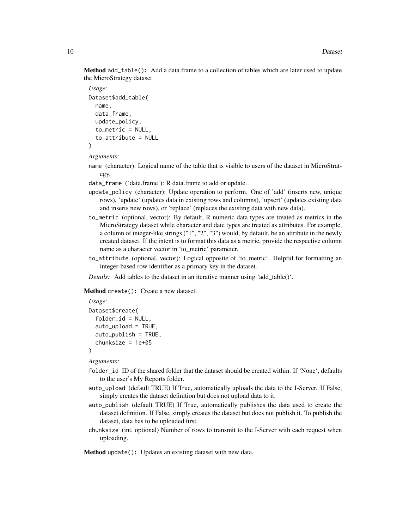Method add\_table(): Add a data.frame to a collection of tables which are later used to update the MicroStrategy dataset

```
Usage:
Dataset$add_table(
  name,
  data_frame,
  update_policy,
  to_metric = NULL,
  to attribute = NULL)
```
*Arguments:*

name (character): Logical name of the table that is visible to users of the dataset in MicroStrategy.

data\_frame ('data.frame'): R data.frame to add or update.

- update\_policy (character): Update operation to perform. One of 'add' (inserts new, unique rows), 'update' (updates data in existing rows and columns), 'upsert' (updates existing data and inserts new rows), or 'replace' (replaces the existing data with new data).
- to\_metric (optional, vector): By default, R numeric data types are treated as metrics in the MicroStrategy dataset while character and date types are treated as attributes. For example, a column of integer-like strings ("1", "2", "3") would, by default, be an attribute in the newly created dataset. If the intent is to format this data as a metric, provide the respective column name as a character vector in 'to\_metric' parameter.
- to\_attribute (optional, vector): Logical opposite of 'to\_metric'. Helpful for formatting an integer-based row identifier as a primary key in the dataset.
- *Details:* Add tables to the dataset in an iterative manner using 'add table()'.

<span id="page-9-0"></span>Method create(): Create a new dataset.

```
Usage:
Dataset$create(
  folder_id = NULL,
  auto_upload = TRUE,
  auto_publish = TRUE,
  chunksize = 1e+05
)
```
*Arguments:*

- folder\_id ID of the shared folder that the dataset should be created within. If 'None', defaults to the user's My Reports folder.
- auto\_upload (default TRUE) If True, automatically uploads the data to the I-Server. If False, simply creates the dataset definition but does not upload data to it.
- auto\_publish (default TRUE) If True, automatically publishes the data used to create the dataset definition. If False, simply creates the dataset but does not publish it. To publish the dataset, data has to be uploaded first.
- chunksize (int, optional) Number of rows to transmit to the I-Server with each request when uploading.

Method update(): Updates an existing dataset with new data.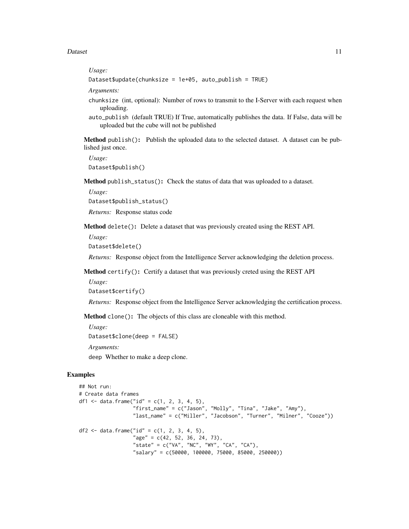#### Dataset 11

#### *Usage:*

```
Dataset$update(chunksize = 1e+05, auto_publish = TRUE)
```
*Arguments:*

- chunksize (int, optional): Number of rows to transmit to the I-Server with each request when uploading.
- auto\_publish (default TRUE) If True, automatically publishes the data. If False, data will be uploaded but the cube will not be published

<span id="page-10-0"></span>Method publish(): Publish the uploaded data to the selected dataset. A dataset can be published just once.

*Usage:* Dataset\$publish()

<span id="page-10-1"></span>Method publish\_status(): Check the status of data that was uploaded to a dataset.

*Usage:*

Dataset\$publish\_status()

*Returns:* Response status code

<span id="page-10-2"></span>Method delete(): Delete a dataset that was previously created using the REST API.

*Usage:*

Dataset\$delete()

*Returns:* Response object from the Intelligence Server acknowledging the deletion process.

<span id="page-10-3"></span>Method certify(): Certify a dataset that was previously creted using the REST API

*Usage:*

Dataset\$certify()

*Returns:* Response object from the Intelligence Server acknowledging the certification process.

Method clone(): The objects of this class are cloneable with this method.

*Usage:* Dataset\$clone(deep = FALSE)

*Arguments:*

deep Whether to make a deep clone.

### Examples

```
## Not run:
# Create data frames
df1 <- data.frame("id" = c(1, 2, 3, 4, 5),
                  "first_name" = c("Jason", "Molly", "Tina", "Jake", "Amy"),
                  "last_name" = c("Miller", "Jacobson", "Turner", "Milner", "Cooze"))
df2 <- data.frame("id" = c(1, 2, 3, 4, 5),
                  "age" = c(42, 52, 36, 24, 73),
                  "state" = c("VA", "NC", "WY", "CA", "CA"),
                  "salary" = c(50000, 100000, 75000, 85000, 250000))
```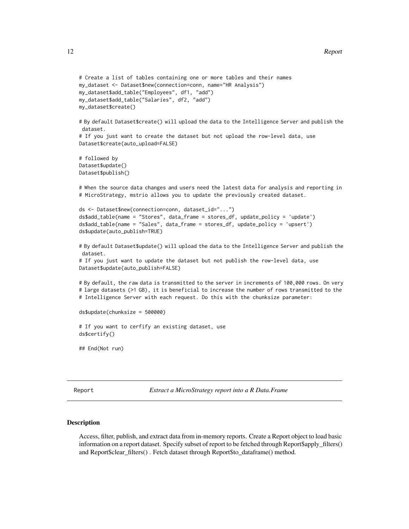```
# Create a list of tables containing one or more tables and their names
my_dataset <- Dataset$new(connection=conn, name="HR Analysis")
my_dataset$add_table("Employees", df1, "add")
my_dataset$add_table("Salaries", df2, "add")
my_dataset$create()
# By default Dataset$create() will upload the data to the Intelligence Server and publish the
dataset.
# If you just want to create the dataset but not upload the row-level data, use
Dataset$create(auto_upload=FALSE)
# followed by
Dataset$update()
Dataset$publish()
# When the source data changes and users need the latest data for analysis and reporting in
# MicroStrategy, mstrio allows you to update the previously created dataset.
ds <- Dataset$new(connection=conn, dataset_id="...")
ds$add_table(name = "Stores", data_frame = stores_df, update_policy = 'update')
ds$add_table(name = "Sales", data_frame = stores_df, update_policy = 'upsert')
ds$update(auto_publish=TRUE)
# By default Dataset$update() will upload the data to the Intelligence Server and publish the
dataset.
# If you just want to update the dataset but not publish the row-level data, use
Dataset$update(auto_publish=FALSE)
# By default, the raw data is transmitted to the server in increments of 100,000 rows. On very
# large datasets (>1 GB), it is beneficial to increase the number of rows transmitted to the
# Intelligence Server with each request. Do this with the chunksize parameter:
ds$update(chunksize = 500000)
# If you want to cerfify an existing dataset, use
ds$certify()
```

```
## End(Not run)
```
Report *Extract a MicroStrategy report into a R Data.Frame*

#### Description

Access, filter, publish, and extract data from in-memory reports. Create a Report object to load basic information on a report dataset. Specify subset of report to be fetched through Report\$apply\_filters() and Report\$clear\_filters() . Fetch dataset through Report\$to\_dataframe() method.

<span id="page-11-0"></span>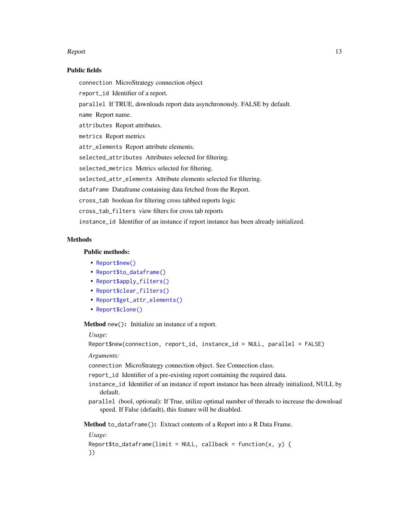#### Report that the contract of the contract of the contract of the contract of the contract of the contract of the contract of the contract of the contract of the contract of the contract of the contract of the contract of th

#### Public fields

connection MicroStrategy connection object

report\_id Identifier of a report.

parallel If TRUE, downloads report data asynchronously. FALSE by default.

name Report name.

attributes Report attributes.

metrics Report metrics

attr\_elements Report attribute elements.

selected\_attributes Attributes selected for filtering.

selected\_metrics Metrics selected for filtering.

selected\_attr\_elements Attribute elements selected for filtering.

dataframe Dataframe containing data fetched from the Report.

cross\_tab boolean for filtering cross tabbed reports logic

cross\_tab\_filters view filters for cross tab reports

instance\_id Identifier of an instance if report instance has been already initialized.

#### **Methods**

#### Public methods:

- [Report\\$new\(\)](#page-2-0)
- [Report\\$to\\_dataframe\(\)](#page-5-0)
- [Report\\$apply\\_filters\(\)](#page-5-1)
- [Report\\$clear\\_filters\(\)](#page-5-2)
- [Report\\$get\\_attr\\_elements\(\)](#page-6-0)
- [Report\\$clone\(\)](#page-3-3)

Method new(): Initialize an instance of a report.

#### *Usage:*

Report\$new(connection, report\_id, instance\_id = NULL, parallel = FALSE)

### *Arguments:*

connection MicroStrategy connection object. See Connection class.

report\_id Identifier of a pre-existing report containing the required data.

- instance\_id Identifier of an instance if report instance has been already initialized, NULL by default.
- parallel (bool, optional): If True, utilize optimal number of threads to increase the download speed. If False (default), this feature will be disabled.

Method to\_dataframe(): Extract contents of a Report into a R Data Frame.

*Usage:*

```
Report$to_dataframe(limit = NULL, callback = function(x, y) {
})
```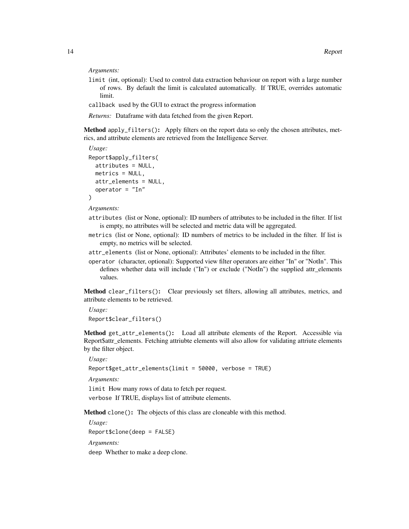*Arguments:*

- limit (int, optional): Used to control data extraction behaviour on report with a large number of rows. By default the limit is calculated automatically. If TRUE, overrides automatic limit.
- callback used by the GUI to extract the progress information

*Returns:* Dataframe with data fetched from the given Report.

Method apply\_filters(): Apply filters on the report data so only the chosen attributes, metrics, and attribute elements are retrieved from the Intelligence Server.

```
Usage:
Report$apply_filters(
  attributes = NULL,
 metrics = NULL,
 attr_elements = NULL,
  operator = "In"
)
```
*Arguments:*

- attributes (list or None, optional): ID numbers of attributes to be included in the filter. If list is empty, no attributes will be selected and metric data will be aggregated.
- metrics (list or None, optional): ID numbers of metrics to be included in the filter. If list is empty, no metrics will be selected.
- attr\_elements (list or None, optional): Attributes' elements to be included in the filter.
- operator (character, optional): Supported view filter operators are either "In" or "NotIn". This defines whether data will include ("In") or exclude ("NotIn") the supplied attr elements values.

Method clear\_filters(): Clear previously set filters, allowing all attributes, metrics, and attribute elements to be retrieved.

*Usage:* Report\$clear\_filters()

Method get\_attr\_elements(): Load all attribute elements of the Report. Accessible via Report\$attr\_elements. Fetching attriubte elements will also allow for validating attriute elements by the filter object.

*Usage:*

```
Report$get_attr_elements(limit = 50000, verbose = TRUE)
```
*Arguments:*

limit How many rows of data to fetch per request. verbose If TRUE, displays list of attribute elements.

Method clone(): The objects of this class are cloneable with this method.

*Usage:* Report\$clone(deep = FALSE) *Arguments:*

deep Whether to make a deep clone.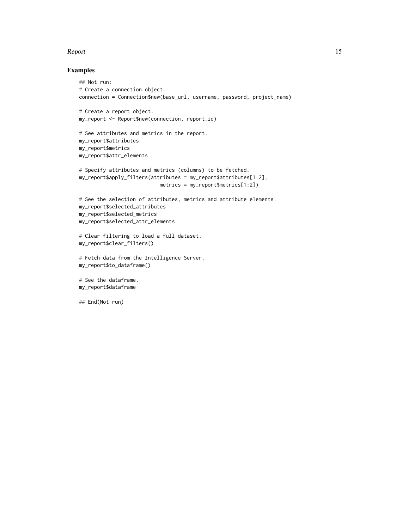#### Report to the contract of the contract of the contract of the contract of the contract of the contract of the contract of the contract of the contract of the contract of the contract of the contract of the contract of the

#### Examples

```
## Not run:
# Create a connection object.
connection = Connection$new(base_url, username, password, project_name)
# Create a report object.
my_report <- Report$new(connection, report_id)
# See attributes and metrics in the report.
my_report$attributes
my_report$metrics
my_report$attr_elements
# Specify attributes and metrics (columns) to be fetched.
my_report$apply_filters(attributes = my_report$attributes[1:2],
                           metrics = my_report$metrics[1:2])
# See the selection of attributes, metrics and attribute elements.
my_report$selected_attributes
my_report$selected_metrics
my_report$selected_attr_elements
# Clear filtering to load a full dataset.
my_report$clear_filters()
# Fetch data from the Intelligence Server.
my_report$to_dataframe()
# See the dataframe.
my_report$dataframe
## End(Not run)
```